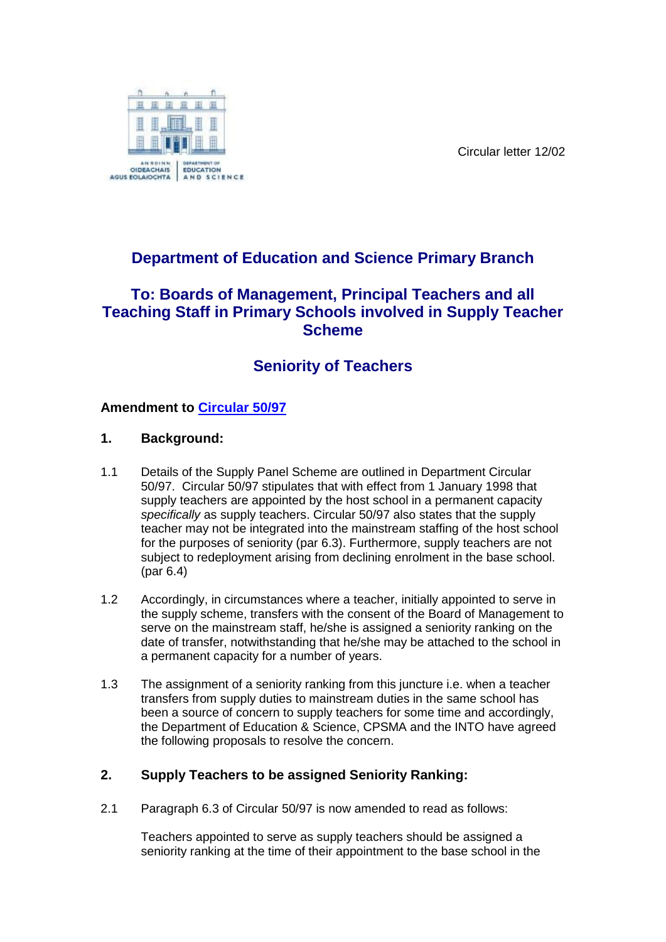Circular letter 12/02



## **Department of Education and Science Primary Branch**

### **To: Boards of Management, Principal Teachers and all Teaching Staff in Primary Schools involved in Supply Teacher Scheme**

# **Seniority of Teachers**

### **Amendment to [Circular 50/97](http://www.education.ie/en/Circulars-and-Forms/Active-Circulars/cl0050_97.pdf)**

#### **1. Background:**

- 1.1 Details of the Supply Panel Scheme are outlined in Department Circular 50/97. Circular 50/97 stipulates that with effect from 1 January 1998 that supply teachers are appointed by the host school in a permanent capacity *specifically* as supply teachers. Circular 50/97 also states that the supply teacher may not be integrated into the mainstream staffing of the host school for the purposes of seniority (par 6.3). Furthermore, supply teachers are not subject to redeployment arising from declining enrolment in the base school. (par 6.4)
- 1.2 Accordingly, in circumstances where a teacher, initially appointed to serve in the supply scheme, transfers with the consent of the Board of Management to serve on the mainstream staff, he/she is assigned a seniority ranking on the date of transfer, notwithstanding that he/she may be attached to the school in a permanent capacity for a number of years.
- 1.3 The assignment of a seniority ranking from this juncture i.e. when a teacher transfers from supply duties to mainstream duties in the same school has been a source of concern to supply teachers for some time and accordingly, the Department of Education & Science, CPSMA and the INTO have agreed the following proposals to resolve the concern.

#### **2. Supply Teachers to be assigned Seniority Ranking:**

2.1 Paragraph 6.3 of Circular 50/97 is now amended to read as follows:

Teachers appointed to serve as supply teachers should be assigned a seniority ranking at the time of their appointment to the base school in the